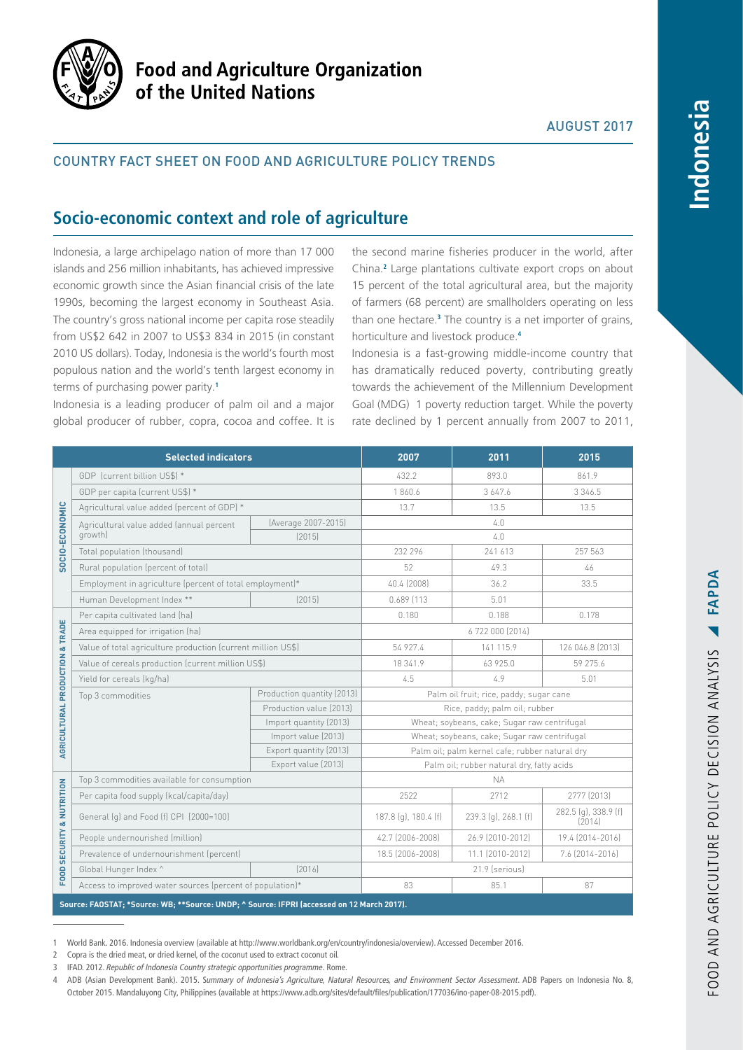

# **Food and Agriculture Organization** of the United Nations

## AUGUST 2017

ndonesia

## Country fact sheet on food and agriculture policy trends

## **Socio-economic context and role of agriculture**

Indonesia, a large archipelago nation of more than 17 000 islands and 256 million inhabitants, has achieved impressive economic growth since the Asian financial crisis of the late 1990s, becoming the largest economy in Southeast Asia. The country's gross national income per capita rose steadily from US\$2 642 in 2007 to US\$3 834 in 2015 (in constant 2010 US dollars). Today, Indonesia is the world's fourth most populous nation and the world's tenth largest economy in terms of purchasing power parity.**<sup>1</sup>**

Indonesia is a leading producer of palm oil and a major global producer of rubber, copra, cocoa and coffee. It is

the second marine fisheries producer in the world, after China.**<sup>2</sup>** Large plantations cultivate export crops on about 15 percent of the total agricultural area, but the majority of farmers (68 percent) are smallholders operating on less than one hectare.**<sup>3</sup>** The country is a net importer of grains, horticulture and livestock produce.**<sup>4</sup>**

Indonesia is a fast-growing middle-income country that has dramatically reduced poverty, contributing greatly towards the achievement of the Millennium Development Goal (MDG) 1 poverty reduction target. While the poverty rate declined by 1 percent annually from 2007 to 2011,

|                                      | <b>Selected indicators</b>                                                                 |                            | 2007                                           | 2011                 | 2015                           |
|--------------------------------------|--------------------------------------------------------------------------------------------|----------------------------|------------------------------------------------|----------------------|--------------------------------|
| SOCIO-ECONOMIC                       | GDP (current billion US\$) *                                                               |                            | 432.2                                          | 893.0                | 861.9                          |
|                                      | GDP per capita (current US\$) *                                                            |                            | 1860.6                                         | 3 647.6              | 3 3 4 6 .5                     |
|                                      | Agricultural value added (percent of GDP) *                                                |                            | 13.7                                           | 13.5                 | 13.5                           |
|                                      | Agricultural value added (annual percent<br>growth)                                        | (Average 2007-2015)        | 4.0                                            |                      |                                |
|                                      |                                                                                            | [2015]                     | 4.0                                            |                      |                                |
|                                      | Total population (thousand)                                                                |                            | 232 296                                        | 241 613              | 257 563                        |
|                                      | Rural population (percent of total)                                                        |                            | 52                                             | 49.3                 | 46                             |
|                                      | Employment in agriculture (percent of total employment)*                                   |                            | 40.4 (2008)                                    | 36.2                 | 33.5                           |
|                                      | Human Development Index **                                                                 | [2015]                     | 0.689 [113                                     | 5.01                 |                                |
| AGRICULTURAL PRODUCTION & TRADE      | Per capita cultivated land (ha)                                                            |                            | 0.180                                          | 0.188                | 0.178                          |
|                                      | Area equipped for irrigation (ha)                                                          |                            | 6722000 [2014]                                 |                      |                                |
|                                      | Value of total agriculture production (current million US\$)                               |                            | 54 927.4                                       | 141 115.9            | 126 046.8 [2013]               |
|                                      | Value of cereals production (current million US\$)                                         |                            | 18 341.9                                       | 63 925.0             | 59 275.6                       |
|                                      | Yield for cereals (kg/ha)                                                                  |                            | 4.5                                            | 4.9                  | 5.01                           |
|                                      | Top 3 commodities                                                                          | Production quantity (2013) | Palm oil fruit; rice, paddy; sugar cane        |                      |                                |
|                                      |                                                                                            | Production value [2013]    | Rice, paddy; palm oil; rubber                  |                      |                                |
|                                      |                                                                                            | Import quantity (2013)     | Wheat; soybeans, cake; Sugar raw centrifugal   |                      |                                |
|                                      |                                                                                            | Import value (2013)        | Wheat; soybeans, cake; Sugar raw centrifugal   |                      |                                |
|                                      |                                                                                            | Export quantity (2013)     | Palm oil; palm kernel cafe; rubber natural dry |                      |                                |
|                                      |                                                                                            | Export value (2013)        | Palm oil; rubber natural dry, fatty acids      |                      |                                |
| <b>FOOD SECURITY &amp; NUTRITION</b> | Top 3 commodities available for consumption                                                |                            |                                                | <b>NA</b>            |                                |
|                                      | Per capita food supply (kcal/capita/day)                                                   |                            | 2522                                           | 2712                 | 2777 (2013)                    |
|                                      | General (q) and Food (f) CPI [2000=100]                                                    |                            | 187.8 (g), 180.4 (f)                           | 239.3 (g), 268.1 (f) | 282.5 (g), 338.9 (f)<br>[2014] |
|                                      | People undernourished (million)                                                            |                            | 42.7 (2006-2008)                               | 26.9 (2010-2012)     | 19.4 (2014-2016)               |
|                                      | Prevalence of undernourishment (percent)                                                   |                            | 18.5 (2006-2008)                               | 11.1 (2010-2012)     | 7.6 (2014-2016)                |
|                                      | Global Hunger Index ^                                                                      | [2016]                     |                                                | 21.9 (serious)       |                                |
|                                      | Access to improved water sources (percent of population)*                                  |                            | 83                                             | 85.1                 | 87                             |
|                                      | Source: FAOSTAT; *Source: WB; **Source: UNDP; ^ Source: IFPRI (accessed on 12 March 2017). |                            |                                                |                      |                                |

1 World Bank. 2016. Indonesia overview (available at [http://www.worldbank.org/en/country/indonesia/overview\)](http://www.worldbank.org/en/country/indonesia/overview). Accessed December 2016.

2 Copra is the dried meat, or dried kernel, of the coconut used to extract coconut oil.

3 IFAD. 2012. *Republic of Indonesia Country strategic opportunities programme*. Rome.

<sup>4</sup> ADB (Asian Development Bank). 2015. S*ummary of Indonesia's Agriculture, Natural Resources, and Environment Sector Assessment*. ADB Papers on Indonesia No. 8, October 2015. Mandaluyong City, Philippines (available at<https://www.adb.org/sites/default/files/publication/177036/ino-paper-08-2015.pdf>).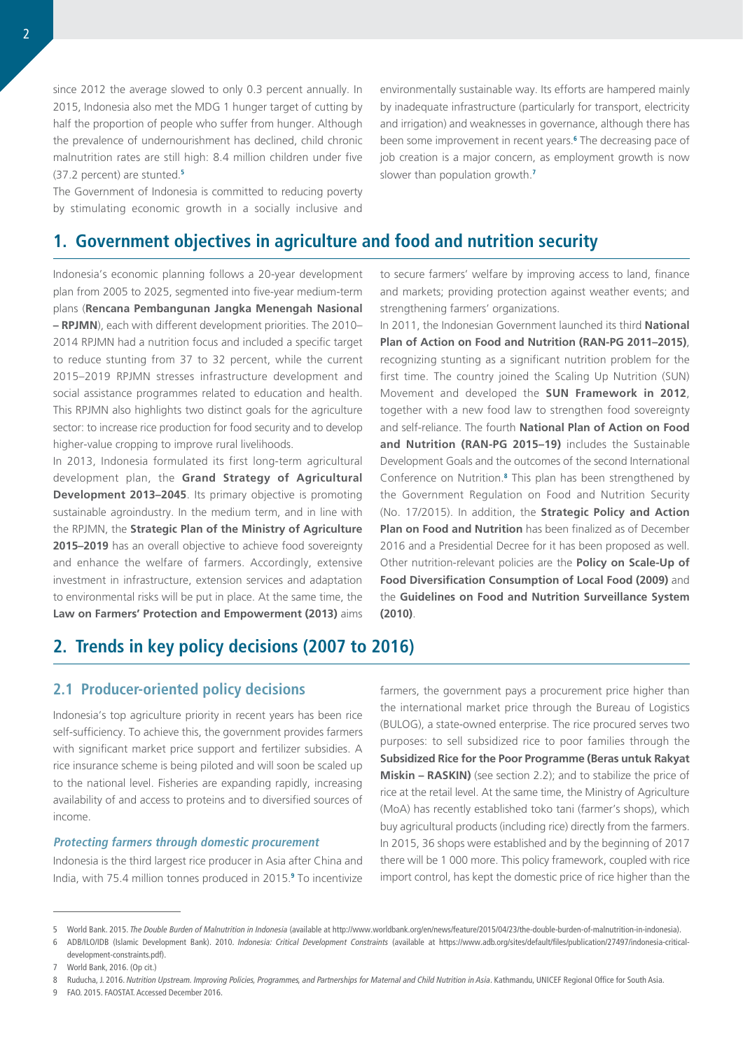since 2012 the average slowed to only 0.3 percent annually. In 2015, Indonesia also met the MDG 1 hunger target of cutting by half the proportion of people who suffer from hunger. Although the prevalence of undernourishment has declined, child chronic malnutrition rates are still high: 8.4 million children under five (37.2 percent) are stunted.**<sup>5</sup>**

The Government of Indonesia is committed to reducing poverty by stimulating economic growth in a socially inclusive and

environmentally sustainable way. Its efforts are hampered mainly by inadequate infrastructure (particularly for transport, electricity and irrigation) and weaknesses in governance, although there has been some improvement in recent years.**<sup>6</sup>** The decreasing pace of job creation is a major concern, as employment growth is now slower than population growth.**<sup>7</sup>**

## **1. Government objectives in agriculture and food and nutrition security**

Indonesia's economic planning follows a 20-year development plan from 2005 to 2025, segmented into five-year medium-term plans (**Rencana Pembangunan Jangka Menengah Nasional – RPJMN**), each with different development priorities. The 2010– 2014 RPJMN had a nutrition focus and included a specific target to reduce stunting from 37 to 32 percent, while the current 2015–2019 RPJMN stresses infrastructure development and social assistance programmes related to education and health. This RPJMN also highlights two distinct goals for the agriculture sector: to increase rice production for food security and to develop higher-value cropping to improve rural livelihoods.

In 2013, Indonesia formulated its first long-term agricultural development plan, the **Grand Strategy of Agricultural Development 2013–2045**. Its primary objective is promoting sustainable agroindustry. In the medium term, and in line with the RPJMN, the **Strategic Plan of the Ministry of Agriculture 2015–2019** has an overall objective to achieve food sovereignty and enhance the welfare of farmers. Accordingly, extensive investment in infrastructure, extension services and adaptation to environmental risks will be put in place. At the same time, the **Law on Farmers' Protection and Empowerment (2013)** aims

to secure farmers' welfare by improving access to land, finance and markets; providing protection against weather events; and strengthening farmers' organizations.

In 2011, the Indonesian Government launched its third **National Plan of Action on Food and Nutrition (RAN-PG 2011–2015)**, recognizing stunting as a significant nutrition problem for the first time. The country joined the Scaling Up Nutrition (SUN) Movement and developed the **SUN Framework in 2012**, together with a new food law to strengthen food sovereignty and self-reliance. The fourth **National Plan of Action on Food and Nutrition (RAN-PG 2015–19)** includes the Sustainable Development Goals and the outcomes of the second International Conference on Nutrition.**<sup>8</sup>** This plan has been strengthened by the Government Regulation on Food and Nutrition Security (No. 17/2015). In addition, the **Strategic Policy and Action Plan on Food and Nutrition** has been finalized as of December 2016 and a Presidential Decree for it has been proposed as well. Other nutrition-relevant policies are the **Policy on Scale-Up of Food Diversification Consumption of Local Food (2009)** and the **Guidelines on Food and Nutrition Surveillance System (2010)**.

# **2. Trends in key policy decisions (2007 to 2016)**

## **2.1 Producer-oriented policy decisions**

Indonesia's top agriculture priority in recent years has been rice self-sufficiency. To achieve this, the government provides farmers with significant market price support and fertilizer subsidies. A rice insurance scheme is being piloted and will soon be scaled up to the national level. Fisheries are expanding rapidly, increasing availability of and access to proteins and to diversified sources of income.

## **Protecting farmers through domestic procurement**

Indonesia is the third largest rice producer in Asia after China and India, with 75.4 million tonnes produced in 2015.**<sup>9</sup>** To incentivize farmers, the government pays a procurement price higher than the international market price through the Bureau of Logistics (BULOG), a state-owned enterprise. The rice procured serves two purposes: to sell subsidized rice to poor families through the **Subsidized Rice for the Poor Programme (Beras untuk Rakyat Miskin – RASKIN)** (see section 2.2); and to stabilize the price of rice at the retail level. At the same time, the Ministry of Agriculture (MoA) has recently established toko tani (farmer's shops), which buy agricultural products (including rice) directly from the farmers. In 2015, 36 shops were established and by the beginning of 2017 there will be 1 000 more. This policy framework, coupled with rice import control, has kept the domestic price of rice higher than the

9 FAO. 2015. FAOSTAT. Accessed December 2016.

<sup>5</sup> World Bank. 2015. *The Double Burden of Malnutrition in Indonesia* (available at [http://www.worldbank.org/en/news/feature/2015/04/23/the-double-burden-of-malnutrition-in-indonesia\)](http://www.worldbank.org/en/news/feature/2015/04/23/the-double-burden-of-malnutrition-in-indonesia).

<sup>6</sup> ADB/ILO/IDB (Islamic Development Bank). 2010. *Indonesia: Critical Development Constraints* (available at [https://www.adb.org/sites/default/files/publication/27497/indonesia-critical](https://www.adb.org/sites/default/files/publication/27497/indonesia-critical-development-constraints.pdf)[development-constraints.pdf\)](https://www.adb.org/sites/default/files/publication/27497/indonesia-critical-development-constraints.pdf).

<sup>7</sup> World Bank, 2016. (Op cit.)

<sup>8</sup> Ruducha, J. 2016. *Nutrition Upstream. Improving Policies, Programmes, and Partnerships for Maternal and Child Nutrition in Asia*. Kathmandu, UNICEF Regional Office for South Asia.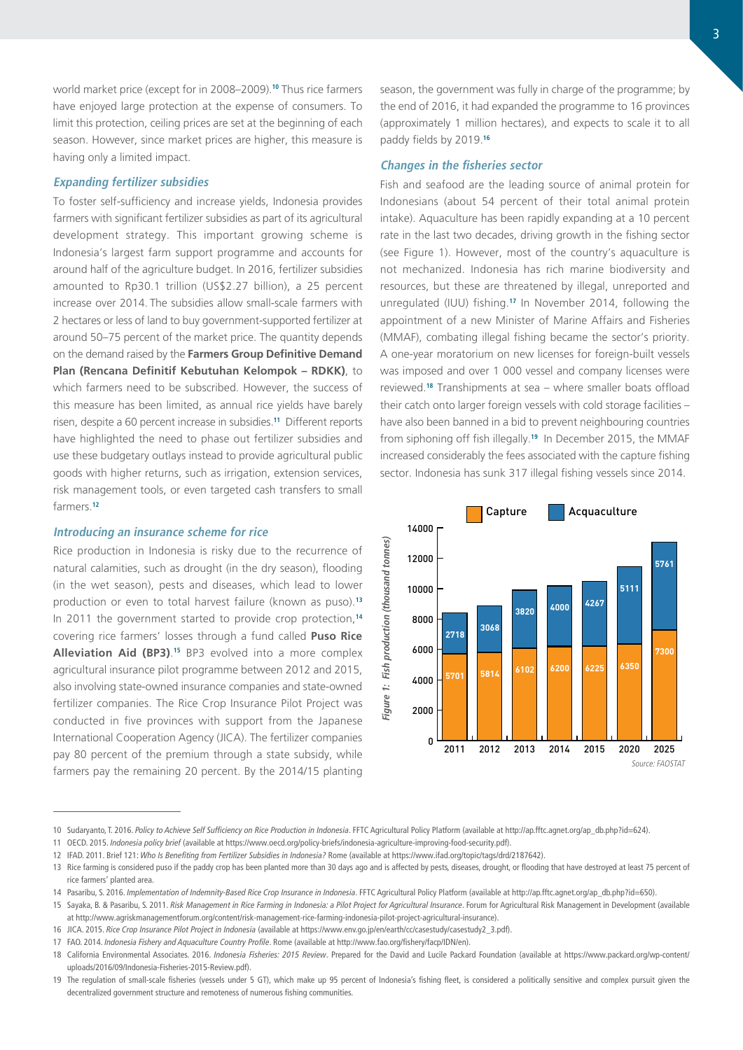world market price (except for in 2008–2009).**<sup>10</sup>** Thus rice farmers have enjoyed large protection at the expense of consumers. To limit this protection, ceiling prices are set at the beginning of each season. However, since market prices are higher, this measure is having only a limited impact.

### **Expanding fertilizer subsidies**

To foster self-sufficiency and increase yields, Indonesia provides farmers with significant fertilizer subsidies as part of its agricultural development strategy. This important growing scheme is Indonesia's largest farm support programme and accounts for around half of the agriculture budget. In 2016, fertilizer subsidies amounted to Rp30.1 trillion (US\$2.27 billion), a 25 percent increase over 2014. The subsidies allow small-scale farmers with 2 hectares or less of land to buy government-supported fertilizer at around 50–75 percent of the market price. The quantity depends on the demand raised by the **Farmers Group Definitive Demand Plan (Rencana Definitif Kebutuhan Kelompok – RDKK)**, to which farmers need to be subscribed. However, the success of this measure has been limited, as annual rice yields have barely risen, despite a 60 percent increase in subsidies.**<sup>11</sup>** Different reports have highlighted the need to phase out fertilizer subsidies and use these budgetary outlays instead to provide agricultural public goods with higher returns, such as irrigation, extension services, risk management tools, or even targeted cash transfers to small farmers.**<sup>12</sup>**

## **Introducing an insurance scheme for rice**

Rice production in Indonesia is risky due to the recurrence of natural calamities, such as drought (in the dry season), flooding (in the wet season), pests and diseases, which lead to lower production or even to total harvest failure (known as puso).**<sup>13</sup>** In 2011 the government started to provide crop protection,**<sup>14</sup>** covering rice farmers' losses through a fund called **Puso Rice Alleviation Aid (BP3)**. **<sup>15</sup>** BP3 evolved into a more complex agricultural insurance pilot programme between 2012 and 2015, also involving state-owned insurance companies and state-owned fertilizer companies. The Rice Crop Insurance Pilot Project was conducted in five provinces with support from the Japanese International Cooperation Agency (JICA). The fertilizer companies pay 80 percent of the premium through a state subsidy, while farmers pay the remaining 20 percent. By the 2014/15 planting

season, the government was fully in charge of the programme; by the end of 2016, it had expanded the programme to 16 provinces (approximately 1 million hectares), and expects to scale it to all paddy fields by 2019.**<sup>16</sup>**

### **Changes in the fisheries sector**

Fish and seafood are the leading source of animal protein for Indonesians (about 54 percent of their total animal protein intake). Aquaculture has been rapidly expanding at a 10 percent rate in the last two decades, driving growth in the fishing sector (see Figure 1). However, most of the country's aquaculture is not mechanized. Indonesia has rich marine biodiversity and resources, but these are threatened by illegal, unreported and unregulated (IUU) fishing.**<sup>17</sup>** In November 2014, following the appointment of a new Minister of Marine Affairs and Fisheries (MMAF), combating illegal fishing became the sector's priority. A one-year moratorium on new licenses for foreign-built vessels was imposed and over 1 000 vessel and company licenses were reviewed.**<sup>18</sup>** Transhipments at sea – where smaller boats offload their catch onto larger foreign vessels with cold storage facilities – have also been banned in a bid to prevent neighbouring countries from siphoning off fish illegally.**<sup>19</sup>** In December 2015, the MMAF increased considerably the fees associated with the capture fishing sector. Indonesia has sunk 317 illegal fishing vessels since 2014.



<sup>10</sup> Sudaryanto, T. 2016. *Policy to Achieve Self Sufficiency on Rice Production in Indonesia*. FFTC Agricultural Policy Platform (available at [http://ap.fftc.agnet.org/ap\\_db.php?id=624\)](http://ap.fftc.agnet.org/ap_db.php?id=624).

<sup>11</sup> OECD. 2015. *Indonesia policy brief* (available at <https://www.oecd.org/policy-briefs/indonesia-agriculture-improving-food-security.pdf>).

<sup>12</sup> IFAD. 2011. Brief 121: *Who Is Benefiting from Fertilizer Subsidies in Indonesia?* Rome (available at [https://www.ifad.org/topic/tags/drd/2187642\)](https://www.ifad.org/topic/tags/drd/2187642).

<sup>13</sup> Rice farming is considered puso if the paddy crop has been planted more than 30 days ago and is affected by pests, diseases, drought, or flooding that have destroyed at least 75 percent of rice farmers' planted area.

<sup>14</sup> Pasaribu, S. 2016. *Implementation of Indemnity-Based Rice Crop Insurance in Indonesia*. FFTC Agricultural Policy Platform (available at [http://ap.fftc.agnet.org/ap\\_db.php?id=650](http://ap.fftc.agnet.org/ap_db.php?id=650)).

<sup>15</sup> Sayaka, B. & Pasaribu, S. 2011. *Risk Management in Rice Farming in Indonesia: a Pilot Project for Agricultural Insurance*. Forum for Agricultural Risk Management in Development (available at <http://www.agriskmanagementforum.org/content/risk-management-rice-farming-indonesia-pilot-project-agricultural-insurance>).

<sup>16</sup> JICA. 2015. *Rice Crop Insurance Pilot Project in Indonesia* (available at [https://www.env.go.jp/en/earth/cc/casestudy/casestudy2\\_3.pdf\)](https://www.env.go.jp/en/earth/cc/casestudy/casestudy2_3.pdf).

<sup>17</sup> FAO. 2014. *Indonesia Fishery and Aquaculture Country Profile*. Rome (available at [http://www.fao.org/fishery/facp/IDN/en\)](http://www.fao.org/fishery/facp/IDN/en).

<sup>18</sup> California Environmental Associates. 2016. *Indonesia Fisheries: 2015 Review*. Prepared for the David and Lucile Packard Foundation (available at [https://www.packard.org/wp-content/](https://www.packard.org/wp-content/uploads/2016/09/Indonesia-Fisheries-2015-Review.pdf)) [uploads/2016/09/Indonesia-Fisheries-2015-Review.pdf\).](https://www.packard.org/wp-content/uploads/2016/09/Indonesia-Fisheries-2015-Review.pdf))

<sup>19</sup> The regulation of small-scale fisheries (vessels under 5 GT), which make up 95 percent of Indonesia's fishing fleet, is considered a politically sensitive and complex pursuit given the decentralized government structure and remoteness of numerous fishing communities.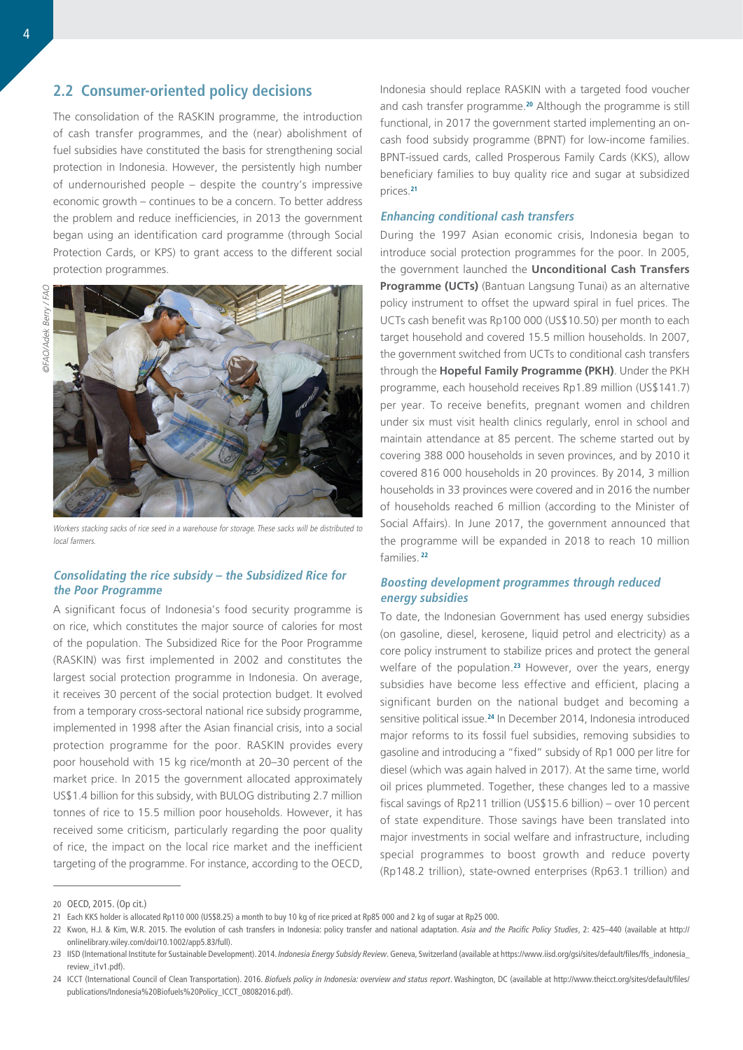## **2.2 Consumer-oriented policy decisions**

The consolidation of the RASKIN programme, the introduction of cash transfer programmes, and the (near) abolishment of fuel subsidies have constituted the basis for strengthening social protection in Indonesia. However, the persistently high number of undernourished people – despite the country's impressive economic growth – continues to be a concern. To better address the problem and reduce inefficiencies, in 2013 the government began using an identification card programme (through Social Protection Cards, or KPS) to grant access to the different social protection programmes.



Workers stacking sacks of rice seed in a warehouse for storage. These sacks will be distributed to local farmers.

## **Consolidating the rice subsidy – the Subsidized Rice for the Poor Programme**

A significant focus of Indonesia's food security programme is on rice, which constitutes the major source of calories for most of the population. The Subsidized Rice for the Poor Programme (RASKIN) was first implemented in 2002 and constitutes the largest social protection programme in Indonesia. On average, it receives 30 percent of the social protection budget. It evolved from a temporary cross-sectoral national rice subsidy programme, implemented in 1998 after the Asian financial crisis, into a social protection programme for the poor. RASKIN provides every poor household with 15 kg rice/month at 20–30 percent of the market price. In 2015 the government allocated approximately US\$1.4 billion for this subsidy, with BULOG distributing 2.7 million tonnes of rice to 15.5 million poor households. However, it has received some criticism, particularly regarding the poor quality of rice, the impact on the local rice market and the inefficient targeting of the programme. For instance, according to the OECD,

Indonesia should replace RASKIN with a targeted food voucher and cash transfer programme.**<sup>20</sup>** Although the programme is still functional, in 2017 the government started implementing an oncash food subsidy programme (BPNT) for low-income families. BPNT-issued cards, called Prosperous Family Cards (KKS), allow beneficiary families to buy quality rice and sugar at subsidized prices.**<sup>21</sup>**

#### **Enhancing conditional cash transfers**

During the 1997 Asian economic crisis, Indonesia began to introduce social protection programmes for the poor. In 2005, the government launched the **Unconditional Cash Transfers Programme (UCTs)** ([Bantuan Langsung Tunai\)](http://documents.worldbank.org/curated/en/652291468039239723/Bantuan-Langsung-Tunai-BLT-temporary-unconditional-cash-transfer) as an alternative policy instrument to offset the upward spiral in fuel prices. The UCTs cash benefit was Rp100 000 (US\$10.50) per month to each target household and covered 15.5 million households. In 2007, the government switched from UCTs to conditional cash transfers through the **Hopeful Family Programme (PKH)**. Under the PKH programme, each household receives Rp1.89 million (US\$141.7) per year. To receive benefits, pregnant women and children under six must visit health clinics regularly, enrol in school and maintain attendance at 85 percent. The scheme started out by covering 388 000 households in seven provinces, and by 2010 it covered 816 000 households in 20 provinces. By 2014, 3 million households in 33 provinces were covered and in 2016 the number of households reached 6 million (according to the Minister of Social Affairs). In June 2017, the government announced that the programme will be expanded in 2018 to reach 10 million families.**<sup>22</sup>**

## **Boosting development programmes through reduced energy subsidies**

To date, the Indonesian Government has used energy subsidies (on gasoline, diesel, kerosene, liquid petrol and electricity) as a core policy instrument to stabilize prices and protect the general welfare of the population.**<sup>23</sup>** However, over the years, energy subsidies have become less effective and efficient, placing a significant burden on the national budget and becoming a sensitive political issue.**<sup>24</sup>** In December 2014, Indonesia introduced major reforms to its fossil fuel subsidies, removing subsidies to gasoline and introducing a "fixed" subsidy of Rp1 000 per litre for diesel (which was again halved in 2017). At the same time, world oil prices plummeted. Together, these changes led to a massive fiscal savings of Rp211 trillion (US\$15.6 billion) – over 10 percent of state expenditure. Those savings have been translated into major investments in social welfare and infrastructure, including special programmes to boost growth and reduce poverty (Rp148.2 trillion), state-owned enterprises (Rp63.1 trillion) and

<sup>20</sup> OECD, 2015. (Op cit.)

<sup>21</sup> Each KKS holder is allocated Rp110 000 (US\$8.25) a month to buy 10 kg of rice priced at Rp85 000 and 2 kg of sugar at Rp25 000.

<sup>22</sup> Kwon, H.J. & Kim, W.R. 2015. The evolution of cash transfers in Indonesia: policy transfer and national adaptation. *Asia and the Pacific Policy Studies*, 2: 425–440 (available at [http://](http://onlinelibrary.wiley.com/doi/10.1002/app5.83/full) [onlinelibrary.wiley.com/doi/10.1002/app5.83/full\)](http://onlinelibrary.wiley.com/doi/10.1002/app5.83/full).

<sup>23</sup> IISD (International Institute for Sustainable Development). 2014. Indonesia Energy Subsidy Review. Geneva, Switzerland (available at [https://www.iisd.org/gsi/sites/default/files/ffs\\_indonesia\\_](https://www.iisd.org/gsi/sites/default/files/ffs_indonesia_review_i1v1.pdf) [review\\_i1v1.pdf\)](https://www.iisd.org/gsi/sites/default/files/ffs_indonesia_review_i1v1.pdf).

<sup>24</sup> ICCT (International Council of Clean Transportation). 2016. *Biofuels policy in Indonesia: overview and status report*. Washington, DC (available at [http://www.theicct.org/sites/default/files/](http://www.theicct.org/sites/default/files/publications/Indonesia Biofuels Policy_ICCT_08082016.pdf) [publications/Indonesia%20Biofuels%20Policy\\_ICCT\\_08082016.pdf](http://www.theicct.org/sites/default/files/publications/Indonesia Biofuels Policy_ICCT_08082016.pdf)).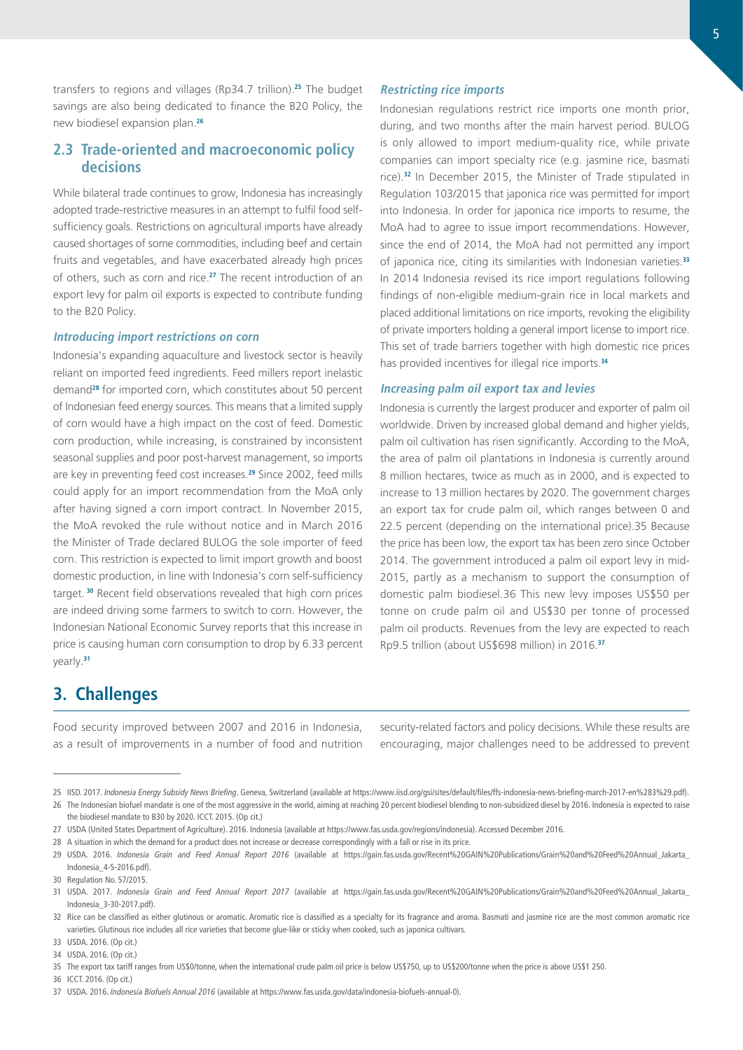transfers to regions and villages (Rp34.7 trillion).**<sup>25</sup>** The budget savings are also being dedicated to finance the B20 Policy, the new biodiesel expansion plan.**<sup>26</sup>**

## **2.3 Trade-oriented and macroeconomic policy decisions**

While bilateral trade continues to grow, Indonesia has increasingly adopted trade-restrictive measures in an attempt to fulfil food selfsufficiency goals. Restrictions on agricultural imports have already caused shortages of some commodities, including beef and certain fruits and vegetables, and have exacerbated already high prices of others, such as corn and rice.**<sup>27</sup>** The recent introduction of an export levy for palm oil exports is expected to contribute funding to the B20 Policy.

### **Introducing import restrictions on corn**

Indonesia's expanding aquaculture and livestock sector is heavily reliant on imported feed ingredients. Feed millers report inelastic demand**<sup>28</sup>** for imported corn, which constitutes about 50 percent of Indonesian feed energy sources. This means that a limited supply of corn would have a high impact on the cost of feed. Domestic corn production, while increasing, is constrained by inconsistent seasonal supplies and poor post-harvest management, so imports are key in preventing feed cost increases.**<sup>29</sup>** Since 2002, feed mills could apply for an import recommendation from the MoA only after having signed a corn import contract. In November 2015, the MoA revoked the rule without notice and in March 2016 the Minister of Trade declared BULOG the sole importer of feed corn. This restriction is expected to limit import growth and boost domestic production, in line with Indonesia's corn self-sufficiency target.**<sup>30</sup>** Recent field observations revealed that high corn prices are indeed driving some farmers to switch to corn. However, the Indonesian National Economic Survey reports that this increase in price is causing human corn consumption to drop by 6.33 percent yearly.**<sup>31</sup>**

### **Restricting rice imports**

Indonesian regulations restrict rice imports one month prior, during, and two months after the main harvest period. BULOG is only allowed to import medium-quality rice, while private companies can import specialty rice (e.g. jasmine rice, basmati rice).**<sup>32</sup>** In December 2015, the Minister of Trade stipulated in Regulation 103/2015 that japonica rice was permitted for import into Indonesia. In order for japonica rice imports to resume, the MoA had to agree to issue import recommendations. However, since the end of 2014, the MoA had not permitted any import of japonica rice, citing its similarities with Indonesian varieties.**<sup>33</sup>** In 2014 Indonesia revised its rice import regulations following findings of non-eligible medium-grain rice in local markets and placed additional limitations on rice imports, revoking the eligibility of private importers holding a general import license to import rice. This set of trade barriers together with high domestic rice prices has provided incentives for illegal rice imports.**<sup>34</sup>**

#### **Increasing palm oil export tax and levies**

Indonesia is currently the largest producer and exporter of palm oil worldwide. Driven by increased global demand and higher yields, palm oil cultivation has risen significantly. According to the MoA, the area of palm oil plantations in Indonesia is currently around 8 million hectares, twice as much as in 2000, and is expected to increase to 13 million hectares by 2020. The government charges an export tax for crude palm oil, which ranges between 0 and 22.5 percent (depending on the international price).35 Because the price has been low, the export tax has been zero since October 2014. The government introduced a palm oil export levy in mid-2015, partly as a mechanism to support the consumption of domestic palm biodiesel.36 This new levy imposes US\$50 per tonne on crude palm oil and US\$30 per tonne of processed palm oil products. Revenues from the levy are expected to reach Rp9.5 trillion (about US\$698 million) in 2016.**<sup>37</sup>**

## **3. Challenges**

Food security improved between 2007 and 2016 in Indonesia, as a result of improvements in a number of food and nutrition

security-related factors and policy decisions. While these results are encouraging, major challenges need to be addressed to prevent

<sup>25</sup> IISD. 2017. *Indonesia Energy Subsidy News Briefing*. Geneva, Switzerland (available at [https://www.iisd.org/gsi/sites/default/files/ffs-indonesia-news-briefing-march-2017-en%283%29.pdf\)](https://www.iisd.org/gsi/sites/default/files/ffs-indonesia-news-briefing-march-2017-en%283%29.pdf).

<sup>26</sup> The Indonesian biofuel mandate is one of the most aggressive in the world, aiming at reaching 20 percent biodiesel blending to non-subsidized diesel by 2016. Indonesia is expected to raise the biodiesel mandate to B30 by 2020. ICCT. 2015. (Op cit.)

<sup>27</sup> USDA (United States Department of Agriculture). 2016. Indonesia (available at [https://www.fas.usda.gov/regions/indonesia\)](https://www.fas.usda.gov/regions/indonesia). Accessed December 2016.

<sup>28</sup> A situation in which the demand for a product does not increase or decrease correspondingly with a fall or rise in its price.

<sup>29</sup> USDA. 2016. *Indonesia Grain and Feed Annual Report 2016* (available at [https://gain.fas.usda.gov/Recent%20GAIN%20Publications/Grain%20and%20Feed%20Annual\\_Jakarta\\_](https://gain.fas.usda.gov/Recent%20GAIN%20Publications/Grain%20and%20Feed%20Annual_Jakarta_Indonesia_4-5-2016.pdf) [Indonesia\\_4-5-2016.pdf\)](https://gain.fas.usda.gov/Recent%20GAIN%20Publications/Grain%20and%20Feed%20Annual_Jakarta_Indonesia_4-5-2016.pdf).

<sup>30</sup> Regulation No. 57/2015.

<sup>31</sup> USDA. 2017. *Indonesia Grain and Feed Annual Report 2017* (available at [https://gain.fas.usda.gov/Recent%20GAIN%20Publications/Grain%20and%20Feed%20Annual\\_Jakarta\\_](https://gain.fas.usda.gov/Recent%20GAIN%20Publications/Grain%20and%20Feed%20Annual_Jakarta_Indonesia_3-30-2017.pdf) [Indonesia\\_3-30-2017.pdf](https://gain.fas.usda.gov/Recent%20GAIN%20Publications/Grain%20and%20Feed%20Annual_Jakarta_Indonesia_3-30-2017.pdf)).

<sup>32</sup> Rice can be classified as either glutinous or aromatic. Aromatic rice is classified as a specialty for its fragrance and aroma. Basmati and jasmine rice are the most common aromatic rice varieties. Glutinous rice includes all rice varieties that become glue-like or sticky when cooked, such as japonica cultivars.

<sup>33</sup> USDA. 2016. (Op cit.)

<sup>34</sup> USDA. 2016. (Op cit.)

<sup>35</sup> The export tax tariff ranges from US\$0/tonne, when the international crude palm oil price is below US\$750, up to US\$200/tonne when the price is above US\$1 250.

<sup>36</sup> ICCT. 2016. (Op cit.)

<sup>37</sup> USDA. 2016. *Indonesia Biofuels Annual 2016* (available at <https://www.fas.usda.gov/data/indonesia-biofuels-annual-0>).